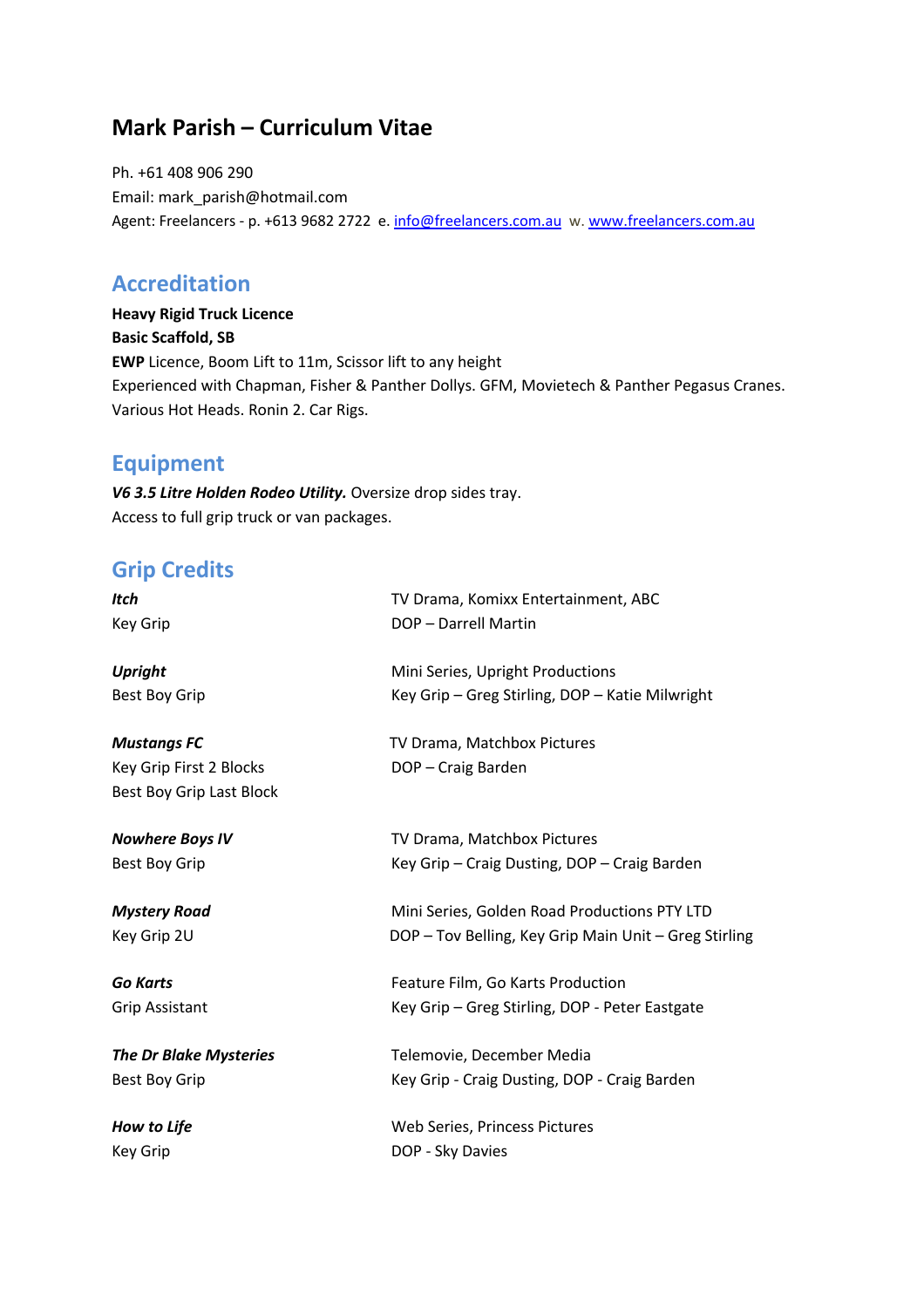## **Mark Parish – Curriculum Vitae**

Ph. +61 408 906 290 Email: mark\_parish@hotmail.com Agent: Freelancers - p. +613 9682 2722 e. info@freelancers.com.au w. www.freelancers.com.au

### **Accreditation**

**Heavy Rigid Truck Licence Basic Scaffold, SB EWP** Licence, Boom Lift to 11m, Scissor lift to any height Experienced with Chapman, Fisher & Panther Dollys. GFM, Movietech & Panther Pegasus Cranes. Various Hot Heads. Ronin 2. Car Rigs.

## **Equipment**

*V6 3.5 Litre Holden Rodeo Utility.* Oversize drop sides tray. Access to full grip truck or van packages.

## **Grip Credits**

| <b>Itch</b>                   | TV Drama, Komixx Entertainment, ABC                   |
|-------------------------------|-------------------------------------------------------|
| <b>Key Grip</b>               | DOP - Darrell Martin                                  |
| <b>Upright</b>                | Mini Series, Upright Productions                      |
| <b>Best Boy Grip</b>          | Key Grip - Greg Stirling, DOP - Katie Milwright       |
| <b>Mustangs FC</b>            | TV Drama, Matchbox Pictures                           |
| Key Grip First 2 Blocks       | DOP - Craig Barden                                    |
| Best Boy Grip Last Block      |                                                       |
| <b>Nowhere Boys IV</b>        | TV Drama, Matchbox Pictures                           |
| <b>Best Boy Grip</b>          | Key Grip - Craig Dusting, DOP - Craig Barden          |
| <b>Mystery Road</b>           | Mini Series, Golden Road Productions PTY LTD          |
| Key Grip 2U                   | DOP - Tov Belling, Key Grip Main Unit - Greg Stirling |
| <b>Go Karts</b>               | Feature Film, Go Karts Production                     |
| <b>Grip Assistant</b>         | Key Grip - Greg Stirling, DOP - Peter Eastgate        |
| <b>The Dr Blake Mysteries</b> | Telemovie, December Media                             |
| <b>Best Boy Grip</b>          | Key Grip - Craig Dusting, DOP - Craig Barden          |
| How to Life                   | Web Series, Princess Pictures                         |
| <b>Key Grip</b>               | DOP - Sky Davies                                      |
|                               |                                                       |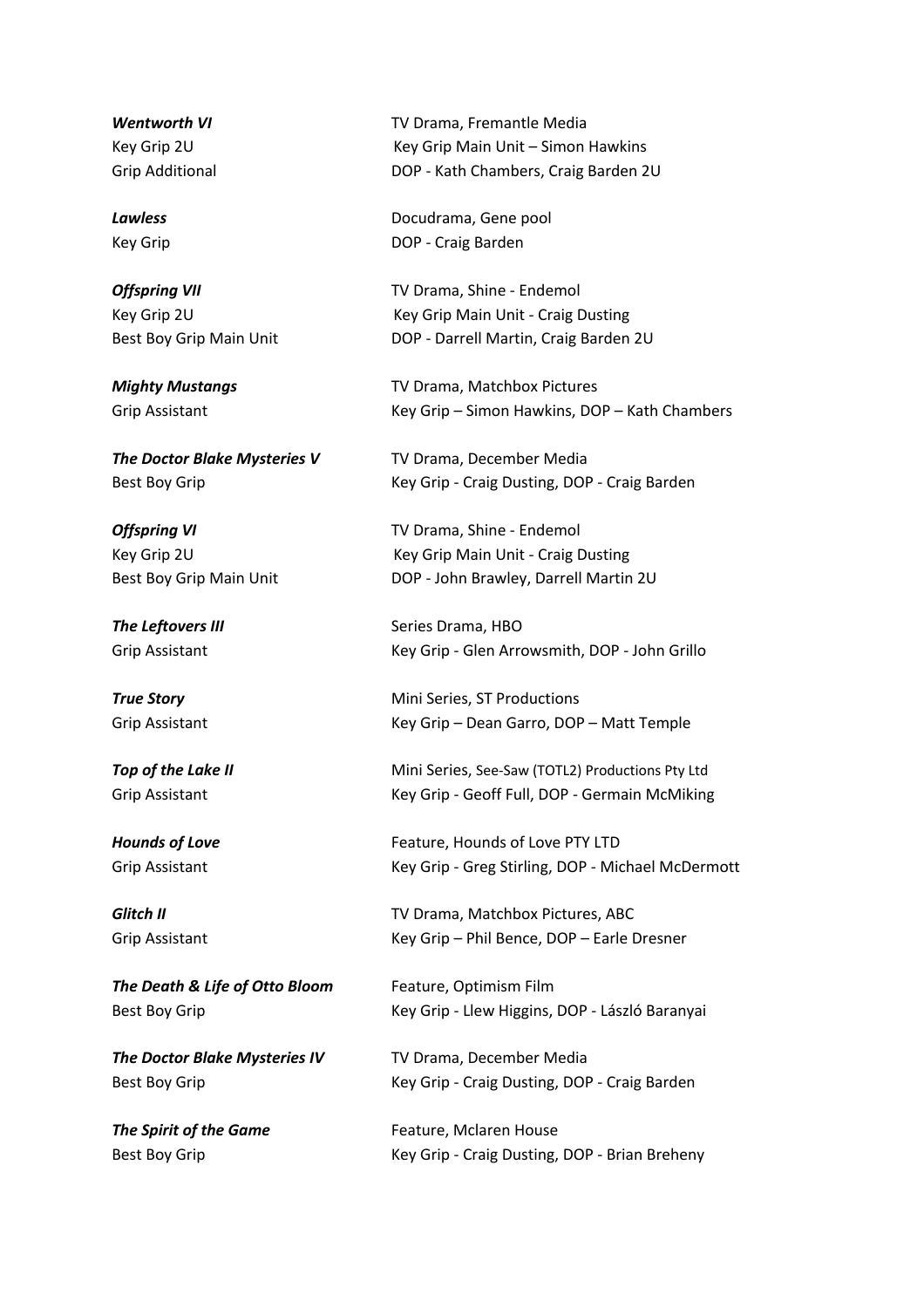*The Doctor Blake Mysteries V* **TV Drama, December Media** 

**The Death & Life of Otto Bloom** Feature, Optimism Film

*The Doctor Blake Mysteries IV* TV Drama, December Media

**Wentworth VI Wentworth VI TV Drama, Fremantle Media** Key Grip 2U Key Grip Main Unit – Simon Hawkins Grip Additional DOP - Kath Chambers, Craig Barden 2U

**Lawless Lawless Docudrama**, Gene pool Key Grip **DOP** - Craig Barden

**Offspring VII** TV Drama, Shine - Endemol Key Grip 2U Key Grip Main Unit - Craig Dusting Best Boy Grip Main Unit DOP - Darrell Martin, Craig Barden 2U

*Mighty Mustangs* TV Drama, Matchbox Pictures Grip Assistant Key Grip – Simon Hawkins, DOP – Kath Chambers

Best Boy Grip **Key Grip - Craig Dusting, DOP - Craig Barden** 

**Offspring VI** TV Drama, Shine - Endemol Key Grip 2U Key Grip Main Unit - Craig Dusting Best Boy Grip Main Unit DOP - John Brawley, Darrell Martin 2U

**The Leftovers III** Series Drama, HBO Grip Assistant Key Grip - Glen Arrowsmith, DOP - John Grillo

**True Story Mini Series, ST Productions** Grip Assistant Key Grip – Dean Garro, DOP – Matt Temple

**Top of the Lake II** Mini Series, See-Saw (TOTL2) Productions Pty Ltd Grip Assistant Key Grip - Geoff Full, DOP - Germain McMiking

**Hounds of Love** The Teature, Hounds of Love PTY LTD Grip Assistant **Key Grip - Greg Stirling, DOP - Michael McDermott** 

**Glitch II** TV Drama, Matchbox Pictures, ABC Grip Assistant Key Grip – Phil Bence, DOP – Earle Dresner

Best Boy Grip **Key Grip - Llew Higgins, DOP - László Baranyai** 

Best Boy Grip **Key Grip - Craig Dusting, DOP - Craig Barden** 

**The Spirit of the Game** Feature, Mclaren House Best Boy Grip **Key Grip - Craig Dusting, DOP** - Brian Breheny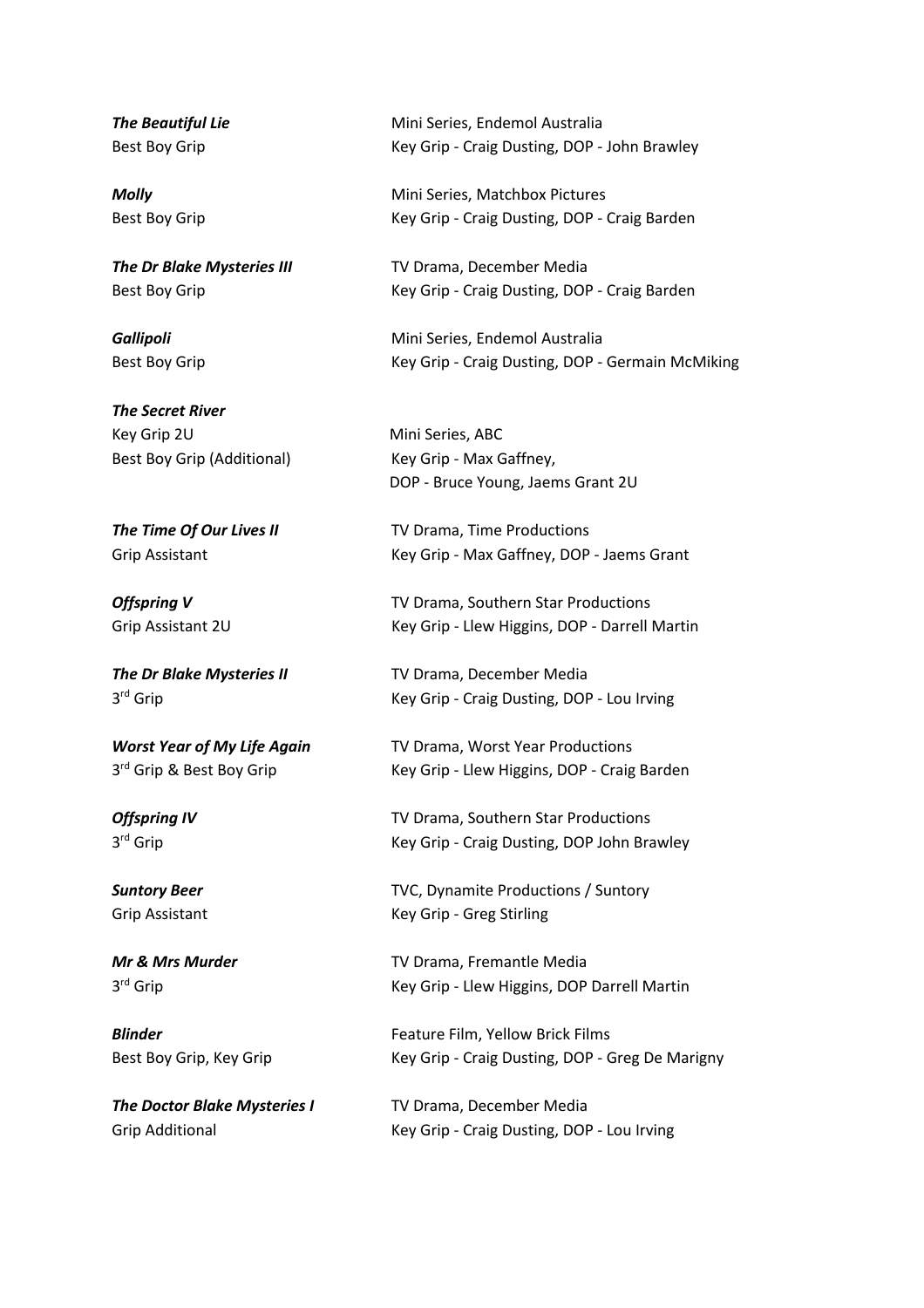*The Secret River* Key Grip 2U **Mini Series, ABC** Best Boy Grip (Additional) Key Grip - Max Gaffney,

*The Doctor Blake Mysteries I* TV Drama, December Media

**The Beautiful Lie** Mini Series, Endemol Australia Best Boy Grip **Key Grip - Craig Dusting, DOP** - John Brawley

**Molly Mini Series, Matchbox Pictures** Best Boy Grip **Key Grip - Craig Dusting, DOP** - Craig Barden

**The Dr Blake Mysteries III** TV Drama, December Media Best Boy Grip **Key Grip - Craig Dusting, DOP - Craig Barden** 

**Gallipoli** Mini Series, Endemol Australia Best Boy Grip **Key Grip - Craig Dusting, DOP - Germain McMiking** 

DOP - Bruce Young, Jaems Grant 2U

**The Time Of Our Lives II** TV Drama, Time Productions Grip Assistant Key Grip - Max Gaffney, DOP - Jaems Grant

**Offspring V** TV Drama, Southern Star Productions Grip Assistant 2U Key Grip - Llew Higgins, DOP - Darrell Martin

*The Dr Blake Mysteries II* TV Drama, December Media 3<sup>rd</sup> Grip Craig Dusting, DOP - Lou Irving

*Worst Year of My Life Again* TV Drama, Worst Year Productions 3<sup>rd</sup> Grip & Best Boy Grip Key Grip - Llew Higgins, DOP - Craig Barden

**Offspring IV** TV Drama, Southern Star Productions 3<sup>rd</sup> Grip Craig Dusting, DOP John Brawley

**Suntory Beer** TVC, Dynamite Productions / Suntory Grip Assistant Key Grip - Greg Stirling

*Mr & Mrs Murder* TV Drama, Fremantle Media 3<sup>rd</sup> Grip **Calcularia Crip - Llew Higgins, DOP Darrell Martin** 

**Blinder** Feature Film, Yellow Brick Films Best Boy Grip, Key Grip Key Grip - Craig Dusting, DOP - Greg De Marigny

Grip Additional **Key Grip - Craig Dusting, DOP - Lou Irving**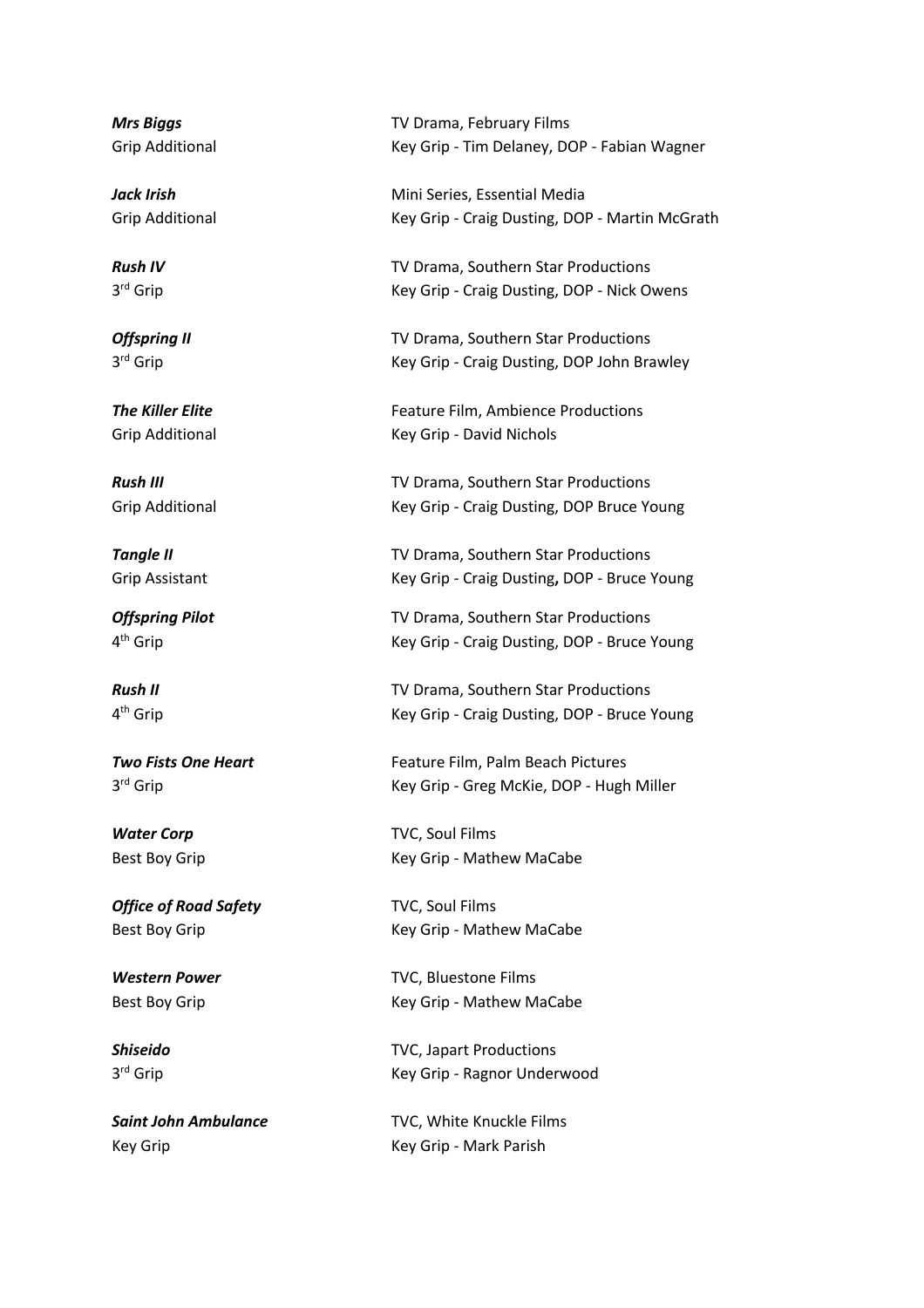**Office of Road Safety** TVC, Soul Films

**Mrs Biggs** TV Drama, February Films Grip Additional Key Grip - Tim Delaney, DOP - Fabian Wagner

*Jack Irish* Mini Series, Essential Media Grip Additional Key Grip - Craig Dusting, DOP - Martin McGrath

**Rush IV Rush IV Rush IV** *Rush IV* **IV** Drama, Southern Star Productions 3<sup>rd</sup> Grip **Key Grip - Craig Dusting, DOP - Nick Owens** 

**Offspring II** TV Drama, Southern Star Productions 3<sup>rd</sup> Grip **Craig Dusting, DOP John Brawley** 

**The Killer Elite** Feature Film, Ambience Productions Grip Additional **Key Grip - David Nichols** 

**Rush III Rush III Rush III Rush III Rush III TV** Drama, Southern Star Productions Grip Additional Key Grip - Craig Dusting, DOP Bruce Young

**Tangle II** TV Drama, Southern Star Productions Grip Assistant Key Grip - Craig Dusting, DOP - Bruce Young

*Offspring Pilot* TV Drama, Southern Star Productions 4<sup>th</sup> Grip **Key Grip - Craig Dusting, DOP - Bruce Young** 

**Rush II Rush II Rush II Rush II Rush II TV** Drama, Southern Star Productions 4<sup>th</sup> Grip **Article Craig Community** Key Grip - Craig Dusting, DOP - Bruce Young

**Two Fists One Heart** Feature Film, Palm Beach Pictures 3<sup>rd</sup> Grip **Calcularist Crip - Greg McKie, DOP** - Hugh Miller

**Water Corp** TVC, Soul Films Best Boy Grip Nathew MaCabe

Best Boy Grip **Key Grip - Mathew MaCabe** 

*Western Power* TVC, Bluestone Films Best Boy Grip **Key Grip - Mathew MaCabe** 

*Shiseido* TVC, Japart Productions 3<sup>rd</sup> Grip **Key Grip - Ragnor Underwood** 

**Saint John Ambulance** TVC, White Knuckle Films Key Grip Key Grip - Mark Parish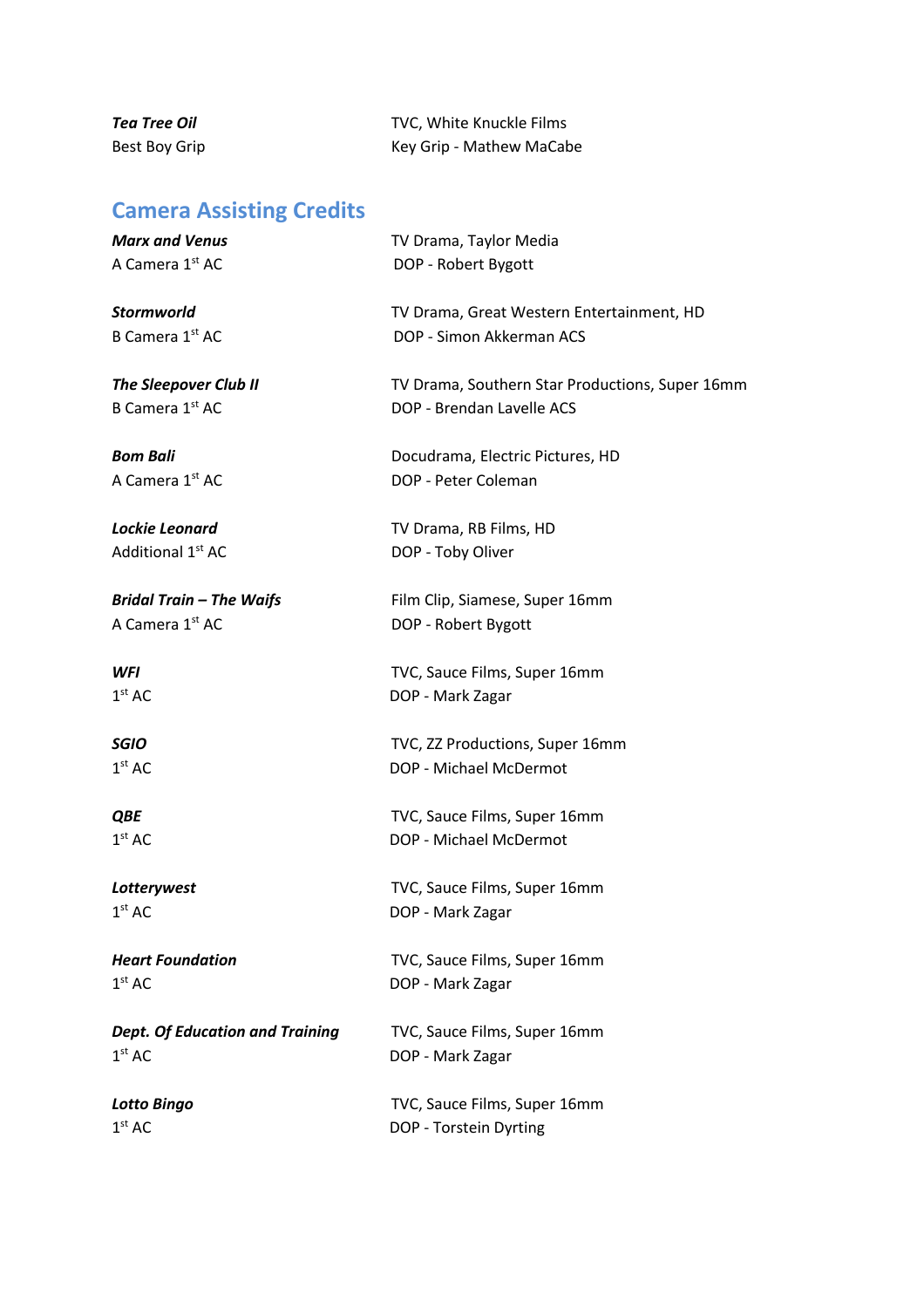**Tea Tree Oil TVC**, White Knuckle Films Best Boy Grip **Key Grip - Mathew MaCabe** 

# **Camera Assisting Credits**

| <b>Marx and Venus</b>                  | TV Drama, Taylor Media                          |
|----------------------------------------|-------------------------------------------------|
| A Camera 1st AC                        | DOP - Robert Bygott                             |
| <b>Stormworld</b>                      | TV Drama, Great Western Entertainment, HD       |
| B Camera 1 <sup>st</sup> AC            | DOP - Simon Akkerman ACS                        |
| <b>The Sleepover Club II</b>           | TV Drama, Southern Star Productions, Super 16mm |
| B Camera 1st AC                        | DOP - Brendan Lavelle ACS                       |
| <b>Bom Bali</b>                        | Docudrama, Electric Pictures, HD                |
| A Camera 1 <sup>st</sup> AC            | DOP - Peter Coleman                             |
| Lockie Leonard                         | TV Drama, RB Films, HD                          |
| Additional 1 <sup>st</sup> AC          | DOP - Toby Oliver                               |
| <b>Bridal Train - The Waifs</b>        | Film Clip, Siamese, Super 16mm                  |
| A Camera 1st AC                        | DOP - Robert Bygott                             |
| WFI                                    | TVC, Sauce Films, Super 16mm                    |
| 1 <sup>st</sup> AC                     | DOP - Mark Zagar                                |
| <b>SGIO</b>                            | TVC, ZZ Productions, Super 16mm                 |
| 1 <sup>st</sup> AC                     | DOP - Michael McDermot                          |
| <b>QBE</b>                             | TVC, Sauce Films, Super 16mm                    |
| 1 <sup>st</sup> AC                     | DOP - Michael McDermot                          |
| Lotterywest                            | TVC, Sauce Films, Super 16mm                    |
| 1 <sup>st</sup> AC                     | DOP - Mark Zagar                                |
| <b>Heart Foundation</b>                | TVC, Sauce Films, Super 16mm                    |
| 1 <sup>st</sup> AC                     | DOP - Mark Zagar                                |
| <b>Dept. Of Education and Training</b> | TVC, Sauce Films, Super 16mm                    |
| 1 <sup>st</sup> AC                     | DOP - Mark Zagar                                |
| <b>Lotto Bingo</b>                     | TVC, Sauce Films, Super 16mm                    |
| 1 <sup>st</sup> AC                     | DOP - Torstein Dyrting                          |
|                                        |                                                 |